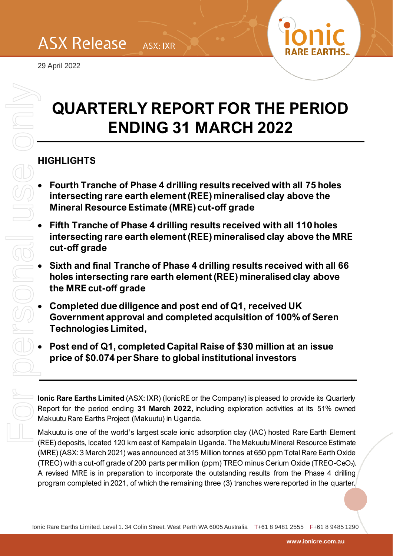29 April 2022



# **QUARTERLY REPORT FOR THE PERIOD ENDING 31 MARCH 2022**

ASX: IXR

# **HIGHLIGHTS**

- **Fourth Tranche of Phase 4 drilling results received with all 75 holes intersecting rare earth element (REE) mineralised clay above the Mineral Resource Estimate (MRE) cut-off grade**
- **Fifth Tranche of Phase 4 drilling results received with all 110 holes intersecting rare earth element (REE) mineralised clay above the MRE cut-off grade**
- **Sixth and final Tranche of Phase 4 drilling results received with all 66 holes intersecting rare earth element (REE) mineralised clay above the MRE cut-off grade**
- **Completed due diligence and post end of Q1, received UK Government approval and completed acquisition of 100% of Seren Technologies Limited,**
- **Post end of Q1, completed Capital Raise of \$30 million at an issue price of \$0.074 per Share to global institutional investors**

**Ionic Rare Earths Limited** (ASX: IXR) (IonicRE or the Company) is pleased to provide its Quarterly Report for the period ending **31 March 2022**, including exploration activities at its 51% owned Makuutu Rare Earths Project (Makuutu) in Uganda.

Makuutu is one of the world's largest scale ionic adsorption clay (IAC) hosted Rare Earth Element (REE) deposits, located 120 km east of Kampala in Uganda. The Makuutu Mineral Resource Estimate (MRE) (ASX: 3 March 2021) was announced at 315 Million tonnes at 650 ppm Total Rare Earth Oxide (TREO) with a cut-off grade of 200 parts per million (ppm) TREO minus Cerium Oxide (TREO-CeO2). A revised MRE is in preparation to incorporate the outstanding results from the Phase 4 drilling **QUARTERLY REPORT FOR THE PERIOD**<br> **ENDING 31 MARCH 2022**<br>
HIGHLIGHTS<br>
• Fourth Tranche of Phase 4 drilling results received with all 75 holes<br>
intersecting rare earth element (REE) mineralised clay above the<br> **Endin Tran**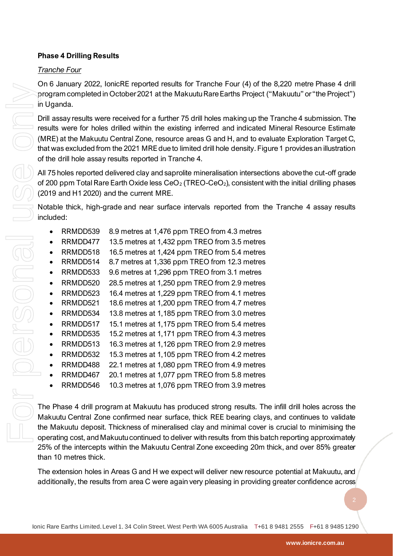## **Phase 4 Drilling Results**

## *Tranche Four*

On 6 January 2022, IonicRE reported results for Tranche Four (4) of the 8,220 metre Phase 4 drill program completed in October 2021 at the Makuutu Rare Earths Project ("Makuutu" or "the Project") in Uganda.

Drill assay results were received for a further 75 drill holes making up the Tranche 4 submission. The results were for holes drilled within the existing inferred and indicated Mineral Resource Estimate (MRE) at the Makuutu Central Zone, resource areas G and H, and to evaluate Exploration Target C, that was excluded from the 2021 MRE due to limited drill hole density[. Figure 1](#page-2-0) provides an illustration of the drill hole assay results reported in Tranche 4.

All 75 holes reported delivered clay and saprolite mineralisation intersections above the cut-off grade of 200 ppm Total Rare Earth Oxide less  $\text{CeO}_2$  (TREO-CeO<sub>2</sub>), consistent with the initial drilling phases (2019 and H1 2020) and the current MRE.

Notable thick, high-grade and near surface intervals reported from the Tranche 4 assay results included:

- RRMDD539 8.9 metres at 1,476 ppm TREO from 4.3 metres
- RRMDD477 13.5 metres at 1,432 ppm TREO from 3.5 metres
- RRMDD518 16.5 metres at 1,424 ppm TREO from 5.4 metres
- RRMDD514 8.7 metres at 1,336 ppm TREO from 12.3 metres
- RRMDD533 9.6 metres at 1,296 ppm TREO from 3.1 metres
- RRMDD520 28.5 metres at 1,250 ppm TREO from 2.9 metres
- RRMDD523 16.4 metres at 1,229 ppm TREO from 4.1 metres
- RRMDD521 18.6 metres at 1,200 ppm TREO from 4.7 metres
- RRMDD534 13.8 metres at 1,185 ppm TREO from 3.0 metres
- RRMDD517 15.1 metres at 1,175 ppm TREO from 5.4 metres
- RRMDD535 15.2 metres at 1,171 ppm TREO from 4.3 metres
- RRMDD513 16.3 metres at 1,126 ppm TREO from 2.9 metres
- RRMDD532 15.3 metres at 1,105 ppm TREO from 4.2 metres
- RRMDD488 22.1 metres at 1,080 ppm TREO from 4.9 metres
- RRMDD467 20.1 metres at 1,077 ppm TREO from 5.8 metres
- RRMDD546 10.3 metres at 1,076 ppm TREO from 3.9 metres

The Phase 4 drill program at Makuutu has produced strong results. The infill drill holes across the Makuutu Central Zone confirmed near surface, thick REE bearing clays, and continues to validate the Makuutu deposit. Thickness of mineralised clay and minimal cover is crucial to minimising the operating cost, and Makuutu continued to deliver with results from this batch reporting approximately 25% of the intercepts within the Makuutu Central Zone exceeding 20m thick, and over 85% greater than 10 metres thick. or or state interest in the results for the results from a case of the results from a confident in the results from a confident with the results from a confident with the positive interest of the different of holds of the

The extension holes in Areas G and H we expect will deliver new resource potential at Makuutu, and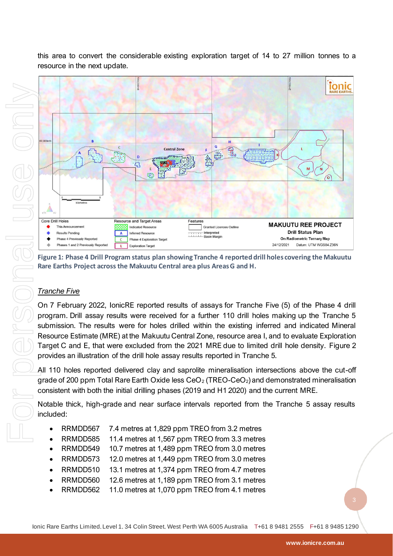

this area to convert the considerable existing exploration target of 14 to 27 million tonnes to a resource in the next update.

<span id="page-2-0"></span>**Figure 1: Phase 4 Drill Program status plan showing Tranche 4 reported drill holes covering the Makuutu Rare Earths Project across the Makuutu Central area plus Areas G and H.** 

## *Tranche Five*

On 7 February 2022, IonicRE reported results of assays for Tranche Five (5) of the Phase 4 drill program. Drill assay results were received for a further 110 drill holes making up the Tranche 5 submission. The results were for holes drilled within the existing inferred and indicated Mineral Resource Estimate (MRE) at the Makuutu Central Zone, resource area I, and to evaluate Exploration Target C and E, that were excluded from the 2021 MRE due to limited drill hole density. [Figure 2](#page-3-0) provides an illustration of the drill hole assay results reported in Tranche 5.

All 110 holes reported delivered clay and saprolite mineralisation intersections above the cut-off grade of 200 ppm Total Rare Earth Oxide less  $CeO<sub>2</sub>$  (TREO-CeO<sub>2</sub>) and demonstrated mineralisation consistent with both the initial drilling phases (2019 and H1 2020) and the current MRE.

Notable thick, high-grade and near surface intervals reported from the Tranche 5 assay results included:

- RRMDD567 7.4 metres at 1,829 ppm TREO from 3.2 metres
- RRMDD585 11.4 metres at 1,567 ppm TREO from 3.3 metres
- RRMDD549 10.7 metres at 1,489 ppm TREO from 3.0 metres
- RRMDD573 12.0 metres at 1,449 ppm TREO from 3.0 metres
- RRMDD510 13.1 metres at 1,374 ppm TREO from 4.7 metres
- RRMDD560 12.6 metres at 1,189 ppm TREO from 3.1 metres
- RRMDD562 11.0 metres at 1,070 ppm TREO from 4.1 metres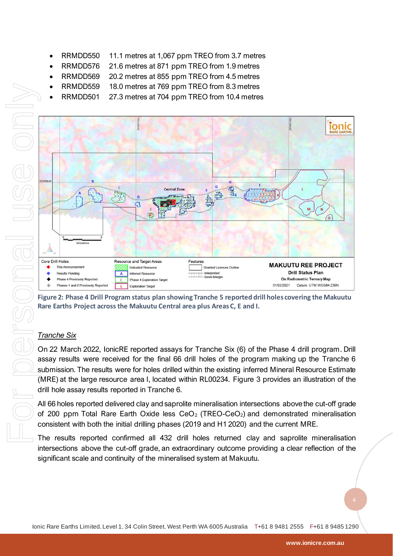- RRMDD550 11.1 metres at 1,067 ppm TREO from 3.7 metres
- RRMDD576 21.6 metres at 871 ppm TREO from 1.9 metres
- RRMDD569 20.2 metres at 855 ppm TREO from 4.5 metres
- RRMDD559 18.0 metres at 769 ppm TREO from 8.3 metres
- RRMDD501 27.3 metres at 704 ppm TREO from 10.4 metres



<span id="page-3-0"></span>**Figure 2: Phase 4 Drill Program status plan showing Tranche 5 reported drill holes covering the Makuutu Rare Earths Project across the Makuutu Central area plus Areas C, E and I.** 

## *Tranche Six*

On 22 March 2022, IonicRE reported assays for Tranche Six (6) of the Phase 4 drill program. Drill assay results were received for the final 66 drill holes of the program making up the Tranche 6 submission. The results were for holes drilled within the existing inferred Mineral Resource Estimate (MRE) at the large resource area I, located within RL00234. [Figure 3](#page-4-0) provides an illustration of the drill hole assay results reported in Tranche 6.

All 66 holes reported delivered clay and saprolite mineralisation intersections above the cut-off grade of 200 ppm Total Rare Earth Oxide less  $CeO<sub>2</sub>$  (TREO-CeO<sub>2</sub>) and demonstrated mineralisation consistent with both the initial drilling phases (2019 and H1 2020) and the current MRE.

The results reported confirmed all 432 drill holes returned clay and saprolite mineralisation intersections above the cut-off grade, an extraordinary outcome providing a clear reflection of the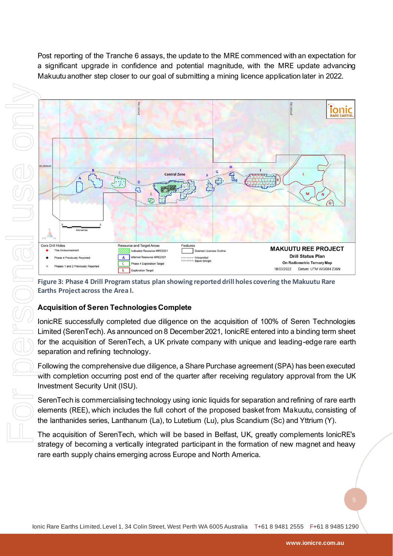Post reporting of the Tranche 6 assays, the update to the MRE commenced with an expectation for a significant upgrade in confidence and potential magnitude, with the MRE update advancing Makuutu another step closer to our goal of submitting a mining licence application later in 2022.





<span id="page-4-0"></span>**Figure 3: Phase 4 Drill Program status plan showing reported drill holes covering the Makuutu Rare Earths Project across the Area I.**

# **Acquisition of Seren Technologies Complete**

IonicRE successfully completed due diligence on the acquisition of 100% of Seren Technologies Limited (SerenTech). As announced on 8 December 2021, IonicRE entered into a binding term sheet for the acquisition of SerenTech, a UK private company with unique and leading-edge rare earth separation and refining technology.

Following the comprehensive due diligence, a Share Purchase agreement (SPA) has been executed with completion occurring post end of the quarter after receiving regulatory approval from the UK Investment Security Unit (ISU).

SerenTech is commercialising technology using ionic liquids for separation and refining of rare earth elements (REE), which includes the full cohort of the proposed basket from Makuutu, consisting of the lanthanides series, Lanthanum (La), to Lutetium (Lu), plus Scandium (Sc) and Yttrium (Y).

The acquisition of SerenTech, which will be based in Belfast, UK, greatly complements IonicRE's strategy of becoming a vertically integrated participant in the formation of new magnet and heavy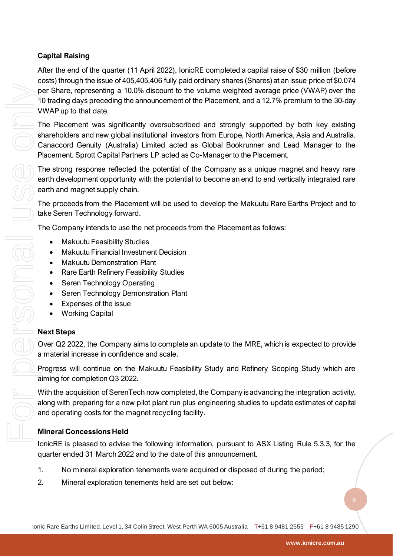# **Capital Raising**

After the end of the quarter (11 April 2022), IonicRE completed a capital raise of \$30 million (before costs) through the issue of 405,405,406 fully paid ordinary shares (Shares) at an issue price of \$0.074 per Share, representing a 10.0% discount to the volume weighted average price (VWAP) over the 10 trading days preceding the announcement of the Placement, and a 12.7% premium to the 30-day VWAP up to that date.

 $\overline{z}$  The Placement was significantly oversubscribed and strongly supported by both key existing shareholders and new global institutional investors from Europe, North America, Asia and Australia. Canaccord Genuity (Australia) Limited acted as Global Bookrunner and Lead Manager to the Placement. Sprott Capital Partners LP acted as Co-Manager to the Placement.

The strong response reflected the potential of the Company as a unique magnet and heavy rare earth development opportunity with the potential to become an end to end vertically integrated rare earth and magnet supply chain.

The proceeds from the Placement will be used to develop the Makuutu Rare Earths Project and to take Seren Technology forward.

The Company intends to use the net proceeds from the Placement as follows:

- **Makuutu Feasibility Studies**
- Makuutu Financial Investment Decision
- Makuutu Demonstration Plant
- Rare Earth Refinery Feasibility Studies
- Seren Technology Operating
- Seren Technology Demonstration Plant
- Expenses of the issue
- **Working Capital**

## **Next Steps**

Over Q2 2022, the Company aims to complete an update to the MRE, which is expected to provide a material increase in confidence and scale.

Progress will continue on the Makuutu Feasibility Study and Refinery Scoping Study which are aiming for completion Q3 2022.

With the acquisition of SerenTech now completed, the Company is advancing the integration activity, along with preparing for a new pilot plant run plus engineering studies to update estimates of capital and operating costs for the magnet recycling facility.

# **Mineral Concessions Held**

IonicRE is pleased to advise the following information, pursuant to ASX Listing Rule 5.3.3, for the quarter ended 31 March 2022 and to the date of this announcement.

- 1. No mineral exploration tenements were acquired or disposed of during the period;
-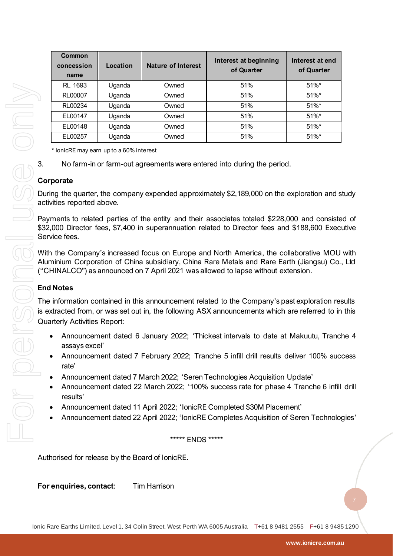| Common<br>concession<br>name | Location | Nature of Interest | Interest at beginning<br>of Quarter | Interest at end<br>of Quarter |
|------------------------------|----------|--------------------|-------------------------------------|-------------------------------|
| <b>RL 1693</b>               | Uganda   | Owned              | 51%                                 | $51\%$ *                      |
| RL00007                      | Uganda   | Owned              | 51%                                 | $51\%$ *                      |
| RL00234                      | Uganda   | Owned              | 51%                                 | $51%$ *                       |
| EL00147                      | Uganda   | Owned              | 51%                                 | $51\%$ *                      |
| EL00148                      | Uganda   | Owned              | 51%                                 | $51\%$ *                      |
| EL00257                      | Uganda   | Owned              | 51%                                 | $51\%$ *                      |

\* IonicRE may earn up to a 60% interest

3. No farm-in or farm-out agreements were entered into during the period.

#### **Corporate**

During the quarter, the company expended approximately \$2,189,000 on the exploration and study activities reported above.

Payments to related parties of the entity and their associates totaled \$228,000 and consisted of \$32,000 Director fees, \$7,400 in superannuation related to Director fees and \$188,600 Executive Service fees.

With the Company's increased focus on Europe and North America, the collaborative MOU with Aluminium Corporation of China subsidiary, China Rare Metals and Rare Earth (Jiangsu) Co., Ltd ("CHINALCO") as announced on 7 April 2021 was allowed to lapse without extension.

#### **End Notes**

The information contained in this announcement related to the Company's past exploration results is extracted from, or was set out in, the following ASX announcements which are referred to in this Quarterly Activities Report:

- Announcement dated 6 January 2022; 'Thickest intervals to date at Makuutu, Tranche 4 assays excel'
- Announcement dated 7 February 2022; Tranche 5 infill drill results deliver 100% success rate'
- Announcement dated 7 March 2022; 'Seren Technologies Acquisition Update'
- Announcement dated 22 March 2022; '100% success rate for phase 4 Tranche 6 infill drill results'
- Announcement dated 11 April 2022; 'IonicRE Completed \$30M Placement'
- Announcement dated 22 April 2022; 'IonicRE Completes Acquisition of Seren Technologies'

#### \*\*\*\*\* ENDS \*\*\*\*\*

Authorised for release by the Board of IonicRE.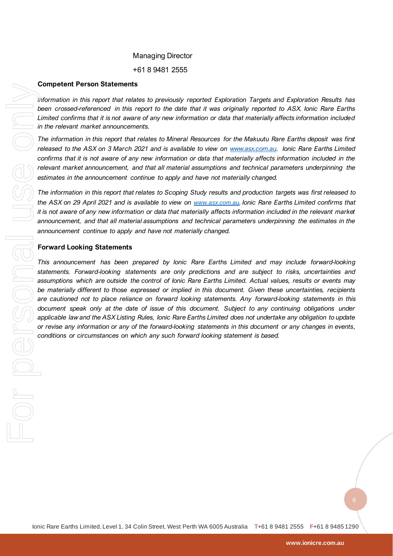#### Managing Director

+61 8 9481 2555

#### **Competent Person Statements**

*Information in this report that relates to previously reported Exploration Targets and Exploration Results has been crossed-referenced in this report to the date that it was originally reported to ASX. Ionic Rare Earths Limited confirms that it is not aware of any new information or data that materially affects information included in the relevant market announcements.* 

*The information in this report that relates to Mineral Resources for the Makuutu Rare Earths deposit was first released to the ASX on 3 March 2021 and is available to view on [www.asx.com.au.](http://www.asx.com.au/) Ionic Rare Earths Limited*  confirms that it is not aware of any new information or data that materially affects information included in the *relevant market announcement, and that all material assumptions and technical parameters underpinning the estimates in the announcement continue to apply and have not materially changed.*

*The information in this report that relates to Scoping Study results and production targets was first released to the ASX on 29 April 2021 and is available to view on [www.asx.com.au](http://www.asx.com.au/). Ionic Rare Earths Limited confirms that it is not aware of any new information or data that materially affects information included in the relevant market announcement, and that all material assumptions and technical parameters underpinning the estimates in the announcement continue to apply and have not materially changed.*

#### **Forward Looking Statements**

*This announcement has been prepared by Ionic Rare Earths Limited and may include forward-looking statements. Forward-looking statements are only predictions and are subject to risks, uncertainties and assumptions which are outside the control of Ionic Rare Earths Limited. Actual values, results or events may be materially different to those expressed or implied in this document. Given these uncertainties, recipients are cautioned not to place reliance on forward looking statements. Any forward-looking statements in this document speak only at the date of issue of this document. Subject to any continuing obligations under applicable law and the ASX Listing Rules, Ionic Rare Earths Limited does not undertake any obligation to update or revise any information or any of the forward-looking statements in this document* or any changes in events, conditions or circumstances on which any such forward looking statement is based.<br>
<br>
<br>
<br>
<br>
<br>
<br>
<br>
<br>
<br>
<br>
<br>
<br>
<br> **conditions or conditions or circumstances on the distinct any such forward is a particular that is a particular this report that is a based controlled that is any such forward looking that are between the material unit of**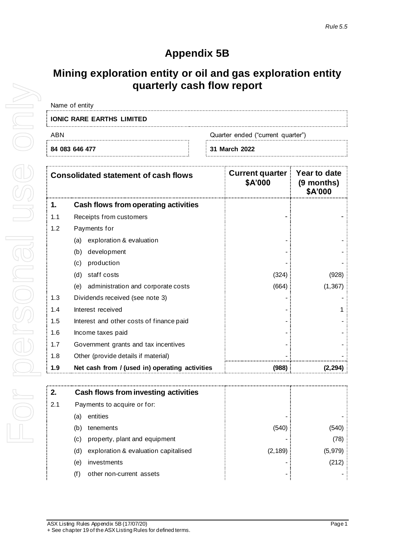# **Appendix 5B**

# **Mining exploration entity or oil and gas exploration entity quarterly cash flow report**

| Name of entity                           |  |               |
|------------------------------------------|--|---------------|
| <b>IONIC RARE EARTHS LIMITED</b>         |  |               |
| Quarter ended ("current quarter")<br>ABN |  |               |
| 84 083 646 477                           |  | 31 March 2022 |

|     | <b>Consolidated statement of cash flows</b>    | <b>Current quarter</b><br>\$A'000 | Year to date<br>(9 months)<br>\$A'000 |
|-----|------------------------------------------------|-----------------------------------|---------------------------------------|
| 1.  | Cash flows from operating activities           |                                   |                                       |
| 1.1 | Receipts from customers                        |                                   |                                       |
| 1.2 | Payments for                                   |                                   |                                       |
|     | exploration & evaluation<br>(a)                |                                   |                                       |
|     | development<br>(b)                             |                                   |                                       |
|     | production<br>(c)                              |                                   |                                       |
|     | staff costs<br>(d)                             | (324)                             | (928)                                 |
|     | administration and corporate costs<br>(e)      | (664)                             | (1, 367)                              |
| 1.3 | Dividends received (see note 3)                |                                   |                                       |
| 1.4 | Interest received                              |                                   |                                       |
| 1.5 | Interest and other costs of finance paid       |                                   |                                       |
| 1.6 | Income taxes paid                              |                                   |                                       |
| 1.7 | Government grants and tax incentives           |                                   |                                       |
| 1.8 | Other (provide details if material)            |                                   |                                       |
| 1.9 | Net cash from / (used in) operating activities | (988)                             | 2,294)                                |

| 2.  |                             | Cash flows from investing activities |          |         |
|-----|-----------------------------|--------------------------------------|----------|---------|
| 2.1 | Payments to acquire or for: |                                      |          |         |
|     | (a)                         | entities                             |          |         |
|     | (b)                         | tenements                            | (540)    | (540)   |
|     | (C)                         | property, plant and equipment        |          | (78)    |
|     | (d)                         | exploration & evaluation capitalised | (2, 189) | (5,979) |
|     | (e)                         | investments                          |          | (212)   |
|     | (f)                         | other non-current assets             |          |         |
|     |                             |                                      |          |         |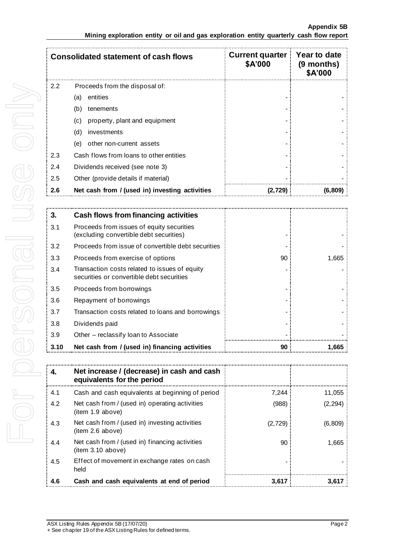|               | <b>Consolidated statement of cash flows</b>    | <b>Current quarter</b><br>\$A'000 | <b>Year to date</b><br>(9 months)<br>\$A'000 |
|---------------|------------------------------------------------|-----------------------------------|----------------------------------------------|
| $2.2^{\circ}$ | Proceeds from the disposal of:                 |                                   |                                              |
|               | entities<br>(a)                                |                                   |                                              |
|               | tenements<br>(b)                               |                                   |                                              |
|               | property, plant and equipment<br>(c)           |                                   |                                              |
|               | investments<br>(d)                             |                                   |                                              |
|               | other non-current assets<br>(e)                |                                   |                                              |
| 2.3           | Cash flows from loans to other entities        |                                   |                                              |
| 2.4           | Dividends received (see note 3)                |                                   |                                              |
| 2.5           | Other (provide details if material)            |                                   |                                              |
| 2.6           | Net cash from / (used in) investing activities | (2.729)                           | (6,809)                                      |

| 3.   | <b>Cash flows from financing activities</b>                                                |    |       |
|------|--------------------------------------------------------------------------------------------|----|-------|
| 3.1  | Proceeds from issues of equity securities<br>(excluding convertible debt securities)       |    |       |
| 3.2  | Proceeds from issue of convertible debt securities                                         |    |       |
| 3.3  | Proceeds from exercise of options                                                          | 90 | 1,665 |
| 3.4  | Transaction costs related to issues of equity<br>securities or convertible debt securities |    |       |
| 3.5  | Proceeds from borrowings                                                                   |    |       |
| 3.6  | Repayment of borrowings                                                                    |    |       |
| 3.7  | Transaction costs related to loans and borrowings                                          |    |       |
| 3.8  | Dividends paid                                                                             |    |       |
| 3.9  | Other - reclassify loan to Associate                                                       |    |       |
| 3.10 | Net cash from / (used in) financing activities                                             | 90 | .665  |

| 4.  | Net increase / (decrease) in cash and cash<br>equivalents for the period |         |          |
|-----|--------------------------------------------------------------------------|---------|----------|
| 4.1 | Cash and cash equivalents at beginning of period                         | 7,244   | 11.055   |
| 4.2 | Net cash from / (used in) operating activities<br>(item 1.9 above)       | (988)   | (2, 294) |
| 4.3 | Net cash from / (used in) investing activities<br>(item 2.6 above)       | (2,729) | (6,809)  |
| 4.4 | Net cash from / (used in) financing activities<br>(item 3.10 above)      | 90      | 1.665    |
| 4.5 | Effect of movement in exchange rates on cash<br>held                     |         |          |
| 4.6 | Cash and cash equivalents at end of period                               | 3.617   |          |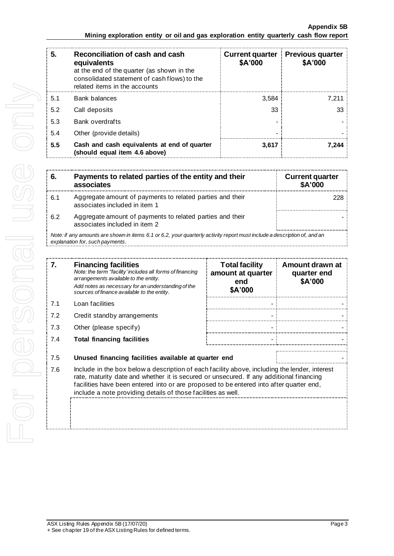| 5.  | Reconciliation of cash and cash<br>equivalents<br>at the end of the quarter (as shown in the<br>consolidated statement of cash flows) to the<br>related items in the accounts | <b>Current quarter</b><br>\$A'000 | <b>Previous quarter</b><br>\$A'000 |
|-----|-------------------------------------------------------------------------------------------------------------------------------------------------------------------------------|-----------------------------------|------------------------------------|
| 5.1 | <b>Bank balances</b>                                                                                                                                                          | 3.584                             | 7.211                              |
| 5.2 | Call deposits                                                                                                                                                                 | 33                                | 33                                 |
| 5.3 | <b>Bank overdrafts</b>                                                                                                                                                        |                                   |                                    |
| 5.4 | Other (provide details)                                                                                                                                                       |                                   |                                    |
| 5.5 | Cash and cash equivalents at end of quarter<br>(should equal item 4.6 above)                                                                                                  | 3.617                             | 7.244                              |

| 6.  | Payments to related parties of the entity and their<br>associates                                                      | <b>Current quarter</b><br>\$A'000 |
|-----|------------------------------------------------------------------------------------------------------------------------|-----------------------------------|
| 6.1 | Aggregate amount of payments to related parties and their<br>associates included in item 1                             |                                   |
| 6.2 | Aggregate amount of payments to related parties and their<br>associates included in item 2                             |                                   |
|     | Note if any amounts are shown in items 6.1 or 6.2, your quarterly activity report must include a description of and an |                                   |

*Note: if any amounts are shown in items 6.1 or 6.2, your quarterly activity report must include a description of, and an explanation for, such payments.*

| 7.  | <b>Financing facilities</b><br>Note: the term "facility' includes all forms of financing<br>arrangements available to the entity.<br>Add notes as necessary for an understanding of the<br>sources of finance available to the entity.                                                                                                               | <b>Total facility</b><br>amount at quarter<br>end<br>\$A'000 | Amount drawn at<br>quarter end<br>\$A'000 |
|-----|------------------------------------------------------------------------------------------------------------------------------------------------------------------------------------------------------------------------------------------------------------------------------------------------------------------------------------------------------|--------------------------------------------------------------|-------------------------------------------|
| 7.1 | Loan facilities                                                                                                                                                                                                                                                                                                                                      |                                                              |                                           |
| 7.2 | Credit standby arrangements                                                                                                                                                                                                                                                                                                                          |                                                              |                                           |
| 7.3 | Other (please specify)                                                                                                                                                                                                                                                                                                                               |                                                              |                                           |
| 7.4 | <b>Total financing facilities</b>                                                                                                                                                                                                                                                                                                                    |                                                              |                                           |
| 7.5 | Unused financing facilities available at quarter end                                                                                                                                                                                                                                                                                                 |                                                              |                                           |
| 7.6 | Include in the box below a description of each facility above, including the lender, interest<br>rate, maturity date and whether it is secured or unsecured. If any additional financing<br>facilities have been entered into or are proposed to be entered into after quarter end,<br>include a note providing details of those facilities as well. |                                                              |                                           |
|     |                                                                                                                                                                                                                                                                                                                                                      |                                                              |                                           |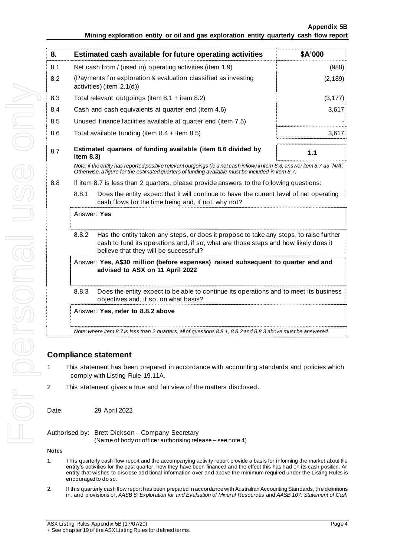**Appendix 5B**

| 8.  | Estimated cash available for future operating activities                                                                                                                                                                        | \$A'000  |  |
|-----|---------------------------------------------------------------------------------------------------------------------------------------------------------------------------------------------------------------------------------|----------|--|
| 8.1 | Net cash from / (used in) operating activities (item 1.9)                                                                                                                                                                       | (988)    |  |
| 8.2 | (Payments for exploration & evaluation classified as investing<br>activities) (item 2.1(d))                                                                                                                                     | (2, 189) |  |
| 8.3 | Total relevant outgoings (item $8.1 +$ item $8.2$ )                                                                                                                                                                             | (3, 177) |  |
| 8.4 | Cash and cash equivalents at quarter end (item 4.6)                                                                                                                                                                             | 3,617    |  |
| 8.5 | Unused finance facilities available at quarter end (item 7.5)                                                                                                                                                                   |          |  |
| 8.6 | Total available funding (item $8.4 +$ item $8.5$ )                                                                                                                                                                              | 3,617    |  |
| 8.7 | Estimated quarters of funding available (item 8.6 divided by<br>item $8.3$ )                                                                                                                                                    | 1.1      |  |
|     | Note: if the entity has reported positive relevant outgoings (ie a net cash inflow) in item 8.3, answer item 8.7 as "N/A".<br>Otherwise, a figure for the estimated quarters of funding available must be included in item 8.7. |          |  |
| 8.8 | If item 8.7 is less than 2 quarters, please provide answers to the following questions:                                                                                                                                         |          |  |
|     | 8.8.1<br>Does the entity expect that it will continue to have the current level of net operating<br>cash flows for the time being and, if not, why not?                                                                         |          |  |
|     | Answer: Yes                                                                                                                                                                                                                     |          |  |
|     | Has the entity taken any steps, or does it propose to take any steps, to raise further<br>8.8.2<br>cash to fund its operations and, if so, what are those steps and how likely does it<br>believe that they will be successful? |          |  |
|     | Answer: Yes, A\$30 million (before expenses) raised subsequent to quarter end and<br>advised to ASX on 11 April 2022                                                                                                            |          |  |
|     | 8.8.3<br>Does the entity expect to be able to continue its operations and to meet its business<br>objectives and, if so, on what basis?                                                                                         |          |  |
|     | Answer: Yes, refer to 8.8.2 above                                                                                                                                                                                               |          |  |
|     | Note: where item 8.7 is less than 2 quarters, all of questions 8.8.1, 8.8.2 and 8.8.3 above must be answered.                                                                                                                   |          |  |

## **Compliance statement**

- 1 This statement has been prepared in accordance with accounting standards and policies which comply with Listing Rule 19.11A.
- 2 This statement gives a true and fair view of the matters disclosed.

Date: 29 April 2022

| Authorised by: Brett Dickson - Company Secretary           |
|------------------------------------------------------------|
| (Name of body or officer authorising release – see note 4) |

#### **Notes**

- 1. This quarterly cash flow report and the accompanying activity report provide a basis for informing the market about the entity's activities for the past quarter, how they have been financed and the effect this has had on its cash position. An entity that wishes to disclose additional information over and above the minimum required under the Listing Rules is encouraged to do so.
- 2. If this quarterly cash flow report has been prepared in accordance with Australian Accounting Standards, the definitions in, and provisions of, *AASB 6: Exploration for and Evaluation of Mineral Resources* and *AASB 107: Statement of Cash*